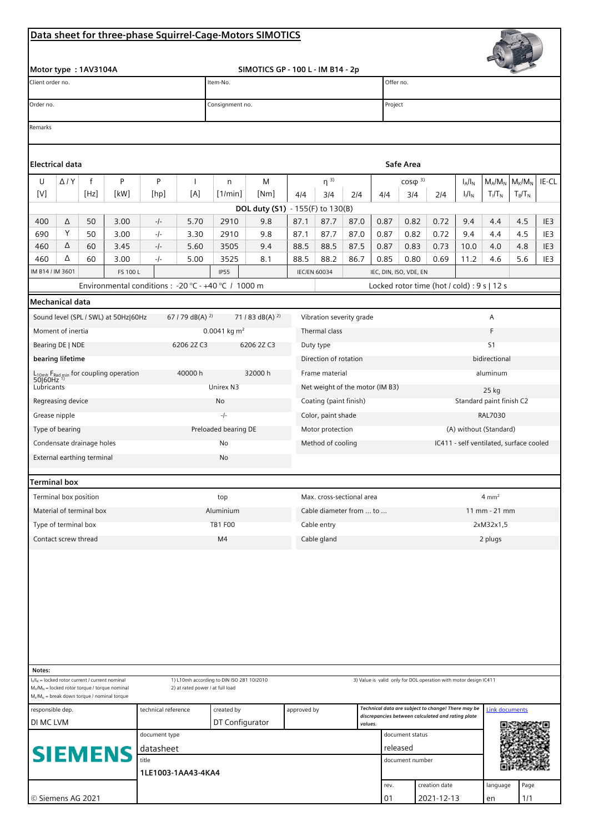## Data sheet for three-phase Squirrel-Cage-Motors SIMOTICS

| Data sheet for three-phase Squirrel-Cage-Motors SIMOTICS                                         |                                                            |                                                    |                                                                                                    |                    |                                  |                                           |                                   |                                 |                                       |                           |                                |                                                                                                         |                                                                   |                                             |            |                       |                        |  |  |
|--------------------------------------------------------------------------------------------------|------------------------------------------------------------|----------------------------------------------------|----------------------------------------------------------------------------------------------------|--------------------|----------------------------------|-------------------------------------------|-----------------------------------|---------------------------------|---------------------------------------|---------------------------|--------------------------------|---------------------------------------------------------------------------------------------------------|-------------------------------------------------------------------|---------------------------------------------|------------|-----------------------|------------------------|--|--|
| Motor type: 1AV3104A                                                                             |                                                            |                                                    |                                                                                                    |                    |                                  |                                           | SIMOTICS GP - 100 L - IM B14 - 2p |                                 |                                       |                           |                                |                                                                                                         |                                                                   |                                             |            |                       |                        |  |  |
| Client order no.                                                                                 |                                                            |                                                    |                                                                                                    |                    |                                  | Item-No.                                  |                                   |                                 |                                       |                           |                                | Offer no.                                                                                               |                                                                   |                                             |            |                       |                        |  |  |
| Order no.                                                                                        |                                                            |                                                    |                                                                                                    |                    |                                  | Consignment no.                           |                                   |                                 |                                       |                           |                                | Project                                                                                                 |                                                                   |                                             |            |                       |                        |  |  |
| Remarks                                                                                          |                                                            |                                                    |                                                                                                    |                    |                                  |                                           |                                   |                                 |                                       |                           |                                |                                                                                                         |                                                                   |                                             |            |                       |                        |  |  |
|                                                                                                  |                                                            |                                                    |                                                                                                    |                    |                                  |                                           |                                   |                                 |                                       |                           |                                |                                                                                                         |                                                                   |                                             |            |                       |                        |  |  |
| Electrical data<br>Safe Area                                                                     |                                                            |                                                    |                                                                                                    |                    |                                  |                                           |                                   |                                 |                                       |                           |                                |                                                                                                         |                                                                   |                                             |            |                       |                        |  |  |
|                                                                                                  | $\sf P$<br>P<br>f<br>U<br>$\Delta$ / $Y$<br>$\overline{1}$ |                                                    |                                                                                                    |                    |                                  | n                                         |                                   | $\eta^{3}$                      |                                       |                           | $\cos\varphi^{3}$<br>$I_A/I_N$ |                                                                                                         |                                                                   | $M_{K}/M_{N}$<br>IE-CL<br>$M_A/M_N$         |            |                       |                        |  |  |
| $[{\mathsf V}]$                                                                                  |                                                            | [Hz]                                               | [kW]                                                                                               | [hp]               | [A]                              | [1/min]                                   | M<br>[Nm]                         | 4/4                             | 3/4                                   | 214                       | 4/4                            | 3/4                                                                                                     | 2/4                                                               | $I_1/I_N$                                   | $T_I/T_N$  | $T_B/T_N$             |                        |  |  |
| DOL duty (S1) - 155(F) to 130(B)                                                                 |                                                            |                                                    |                                                                                                    |                    |                                  |                                           |                                   |                                 |                                       |                           |                                |                                                                                                         |                                                                   |                                             |            |                       |                        |  |  |
| 400                                                                                              | Δ                                                          | 50                                                 | 3.00                                                                                               | $-/-$              | 5.70                             | 2910                                      | 9.8                               | 87.1                            | 87.7                                  | 87.0                      | 0.87                           | 0.82                                                                                                    | 0.72                                                              | 9.4                                         | 4.4        | 4.5                   | IE3                    |  |  |
| 690                                                                                              | Υ<br>Δ                                                     | 50                                                 | 3.00                                                                                               | $-/-$              | 3.30                             | 2910                                      | 9.8                               | 87.1                            | 87.7                                  | 87.0                      | 0.87                           | 0.82                                                                                                    | 0.72                                                              | 9.4                                         | 4.4        | 4.5                   | IE3                    |  |  |
| 460<br>460                                                                                       | Δ                                                          | 60<br>60                                           | 3.45<br>3.00                                                                                       | $-/-$<br>$-1-$     | 5.60<br>5.00                     | 3505<br>3525                              | 9.4<br>8.1                        | 88.5<br>88.5                    | 88.5<br>88.2                          | 87.5<br>86.7              | 0.87<br>0.85                   | 0.83<br>0.80                                                                                            | 0.73<br>0.69                                                      | 10.0<br>11.2                                | 4.0<br>4.6 | 4.8<br>5.6            | IE <sub>3</sub><br>IE3 |  |  |
| IM B14 / IM 3601                                                                                 |                                                            |                                                    | FS 100 L                                                                                           |                    |                                  | <b>IP55</b>                               |                                   |                                 | <b>IEC/EN 60034</b>                   |                           | IEC, DIN, ISO, VDE, EN         |                                                                                                         |                                                                   |                                             |            |                       |                        |  |  |
| Environmental conditions : - 20 °C - +40 °C / 1000 m                                             |                                                            |                                                    |                                                                                                    |                    |                                  |                                           |                                   |                                 |                                       |                           |                                |                                                                                                         |                                                                   | Locked rotor time (hot / cold) : 9 s   12 s |            |                       |                        |  |  |
| <b>Mechanical data</b>                                                                           |                                                            |                                                    |                                                                                                    |                    |                                  |                                           |                                   |                                 |                                       |                           |                                |                                                                                                         |                                                                   |                                             |            |                       |                        |  |  |
|                                                                                                  |                                                            |                                                    | Sound level (SPL / SWL) at 50Hz 60Hz                                                               |                    | 67 / 79 dB(A) $^{2)}$            |                                           | 71 / 83 dB(A) $^{2}$              |                                 |                                       | Vibration severity grade  |                                |                                                                                                         |                                                                   |                                             | A          |                       |                        |  |  |
| Moment of inertia                                                                                |                                                            |                                                    |                                                                                                    |                    |                                  | 0.0041 kg $m^2$                           |                                   | Thermal class                   |                                       | F                         |                                |                                                                                                         |                                                                   |                                             |            |                       |                        |  |  |
| Bearing DE   NDE<br>6206 2Z C3                                                                   |                                                            |                                                    |                                                                                                    |                    |                                  |                                           | 6206 2Z C3                        |                                 | Duty type                             |                           |                                |                                                                                                         | S <sub>1</sub>                                                    |                                             |            |                       |                        |  |  |
| bearing lifetime                                                                                 |                                                            |                                                    |                                                                                                    |                    |                                  |                                           |                                   | Direction of rotation           |                                       |                           |                                | bidirectional                                                                                           |                                                                   |                                             |            |                       |                        |  |  |
| 40000h<br>L <sub>10mh</sub> F <sub>Rad min</sub> for coupling operation<br>50 60Hz <sup>1)</sup> |                                                            |                                                    |                                                                                                    |                    |                                  | 32000 h                                   |                                   | Frame material                  |                                       |                           |                                | aluminum                                                                                                |                                                                   |                                             |            |                       |                        |  |  |
| Lubricants                                                                                       |                                                            |                                                    |                                                                                                    |                    |                                  | Unirex N3                                 |                                   | Net weight of the motor (IM B3) |                                       |                           |                                |                                                                                                         | 25 kg                                                             |                                             |            |                       |                        |  |  |
| Regreasing device                                                                                |                                                            |                                                    |                                                                                                    |                    |                                  | No                                        |                                   | Coating (paint finish)          |                                       |                           |                                | Standard paint finish C2                                                                                |                                                                   |                                             |            |                       |                        |  |  |
| Grease nipple                                                                                    |                                                            |                                                    |                                                                                                    |                    |                                  | $-/-$                                     |                                   |                                 | Color, paint shade                    |                           |                                |                                                                                                         | <b>RAL7030</b>                                                    |                                             |            |                       |                        |  |  |
| Type of bearing<br>Condensate drainage holes                                                     |                                                            |                                                    |                                                                                                    |                    |                                  | Preloaded bearing DE<br>No                |                                   |                                 | Motor protection<br>Method of cooling |                           |                                |                                                                                                         | (A) without (Standard)<br>IC411 - self ventilated, surface cooled |                                             |            |                       |                        |  |  |
| External earthing terminal                                                                       |                                                            |                                                    |                                                                                                    |                    |                                  | No                                        |                                   |                                 |                                       |                           |                                |                                                                                                         |                                                                   |                                             |            |                       |                        |  |  |
|                                                                                                  |                                                            |                                                    |                                                                                                    |                    |                                  |                                           |                                   |                                 |                                       |                           |                                |                                                                                                         |                                                                   |                                             |            |                       |                        |  |  |
| Terminal box                                                                                     |                                                            |                                                    |                                                                                                    |                    |                                  |                                           |                                   |                                 |                                       |                           |                                |                                                                                                         |                                                                   |                                             |            |                       |                        |  |  |
| Terminal box position                                                                            |                                                            |                                                    |                                                                                                    |                    |                                  | top                                       |                                   | Max. cross-sectional area       |                                       |                           |                                |                                                                                                         |                                                                   |                                             |            | $4 \text{ mm}^2$      |                        |  |  |
| Material of terminal box                                                                         |                                                            |                                                    |                                                                                                    |                    |                                  | Aluminium                                 |                                   |                                 | Cable diameter from  to               | $11 \, \text{mm}$ - 21 mm |                                |                                                                                                         |                                                                   |                                             |            |                       |                        |  |  |
| Type of terminal box                                                                             |                                                            |                                                    |                                                                                                    |                    |                                  | <b>TB1 F00</b>                            |                                   |                                 | Cable entry                           |                           |                                |                                                                                                         | 2xM32x1,5                                                         |                                             |            |                       |                        |  |  |
| Contact screw thread                                                                             |                                                            |                                                    |                                                                                                    |                    |                                  | M <sub>4</sub>                            |                                   | Cable gland                     |                                       |                           |                                | 2 plugs                                                                                                 |                                                                   |                                             |            |                       |                        |  |  |
|                                                                                                  |                                                            |                                                    |                                                                                                    |                    |                                  |                                           |                                   |                                 |                                       |                           |                                |                                                                                                         |                                                                   |                                             |            |                       |                        |  |  |
| Notes:                                                                                           |                                                            |                                                    |                                                                                                    |                    |                                  |                                           |                                   |                                 |                                       |                           |                                |                                                                                                         |                                                                   |                                             |            |                       |                        |  |  |
|                                                                                                  |                                                            | $I_A/I_N$ = locked rotor current / current nominal | $M_A/M_N$ = locked rotor torque / torque nominal<br>$M_K/M_N$ = break down torque / nominal torque |                    | 2) at rated power / at full load | 1) L10mh according to DIN ISO 281 10/2010 |                                   |                                 |                                       |                           |                                |                                                                                                         | 3) Value is valid only for DOL operation with motor design IC411  |                                             |            |                       |                        |  |  |
| technical reference<br>responsible dep.                                                          |                                                            |                                                    |                                                                                                    |                    |                                  | created by                                |                                   | approved by                     |                                       |                           |                                | Technical data are subject to change! There may be<br>discrepancies between calculated and rating plate |                                                                   |                                             |            | <b>Link documents</b> |                        |  |  |
| DI MC LVM                                                                                        |                                                            |                                                    |                                                                                                    |                    |                                  | DT Configurator                           |                                   |                                 | values.                               |                           |                                | document status                                                                                         |                                                                   |                                             |            |                       |                        |  |  |
| document type<br>datasheet                                                                       |                                                            |                                                    |                                                                                                    |                    |                                  |                                           |                                   |                                 |                                       |                           |                                | released                                                                                                |                                                                   |                                             |            |                       |                        |  |  |
| <b>SIEMENS</b><br>title                                                                          |                                                            |                                                    |                                                                                                    |                    |                                  |                                           |                                   |                                 |                                       |                           |                                | document number                                                                                         |                                                                   |                                             |            |                       |                        |  |  |
|                                                                                                  |                                                            |                                                    |                                                                                                    | 1LE1003-1AA43-4KA4 |                                  |                                           |                                   |                                 |                                       |                           |                                |                                                                                                         |                                                                   |                                             |            |                       |                        |  |  |
| @ Sigmons AC 2021                                                                                |                                                            |                                                    |                                                                                                    |                    |                                  |                                           |                                   |                                 |                                       |                           | rev.                           |                                                                                                         | creation date<br>$7071 - 17 - 12$                                 |                                             | language   | Page<br>111           |                        |  |  |
|                                                                                                  |                                                            |                                                    |                                                                                                    |                    |                                  |                                           |                                   |                                 |                                       |                           | $\bigcap$ 1                    |                                                                                                         |                                                                   |                                             |            |                       |                        |  |  |